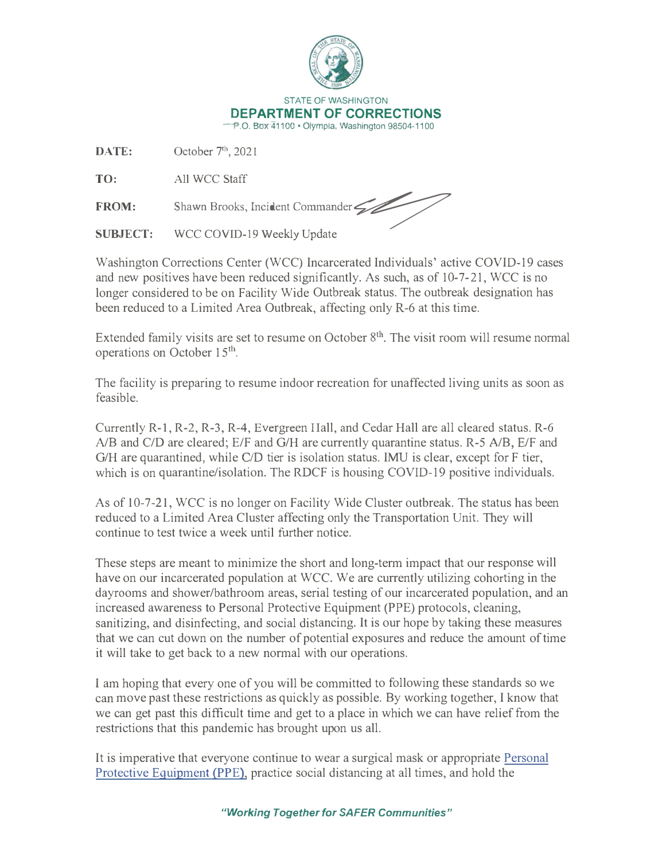

**DATE:** October 7**<sup>1</sup> \** 2021

**TO:** All wee Staff

FROM: Shawn Brooks, Incident Commander

WCC COVID-19 Weekly Update

Washington Corrections Center (WCC) Incarcerated Individuals' active COVID-19 cases and new positives have been reduced significantly. As such, as of 10-7-21, WCC is no longer considered to be on Facility Wide Outbreak status. The outbreak designation has been reduced to a Limited Area Outbreak, affecting only R-6 at this time.

Extended family visits are set to resume on October  $8<sup>th</sup>$ . The visit room will resume normal operations on October 15th.

The facility is preparing to resume indoor recreation for unaffected living units as soon as feasible.

Currently R-1, R-2, R-3, R-4, Evergreen Ilall, and Cedar Hall are all cleared status. R-6 A/B and C/D are cleared; E/F and G/H are currently quarantine status. R-5 A/B, E/F and G/H are quarantined, while C/D tier is isolation status. **IMU** is clear, except for F tier, which is on quarantine/isolation. The RDCF is housing COVID-19 positive individuals.

As of 10-7-21, WCC is no longer on Facility Wide Cluster outbreak. The status has been reduced to a Limited Area Cluster affecting only the Transportation Unit. They will continue to test twice a week until further notice.

These steps are meant to minimize the short and long-term impact that our response will have on our incarcerated population at WCC. We are currently utilizing cohorting in the dayrooms and shower/bathroom areas, serial testing of our incarcerated population, and an increased awareness to Personal Protective Equipment (PPE) protocols, cleaning, sanitizing, and disinfecting, and social distancing. It is our hope by taking these measures that we can cut down on the number of potential exposures and reduce the amount of time it will take to get back to a new normal with our operations.

I am hoping that every one of you will be committed to following these standards so we can move past these restrictions as quickly as possible. By working together, I know that we can get past this difficult time and get to a place in which we can have relief from the restrictions that this pandemic has brought upon us all.

It is imperative that everyone continue to wear a surgical mask or appropriate Personal Protective Equipment (PPE), practice social distancing at all times, and hold the

*"Working Together for SAFER Communities"*